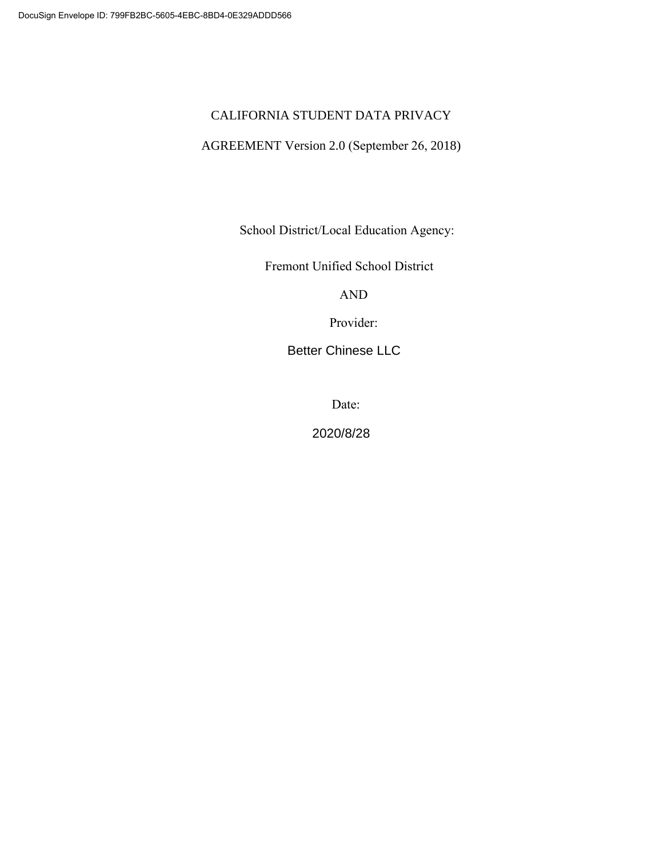# CALIFORNIA STUDENT DATA PRIVACY

# AGREEMENT Version 2.0 (September 26, 2018)

School District/Local Education Agency:

Fremont Unified School District

AND

Provider:

Better Chinese LLC

Date:

2020/8/28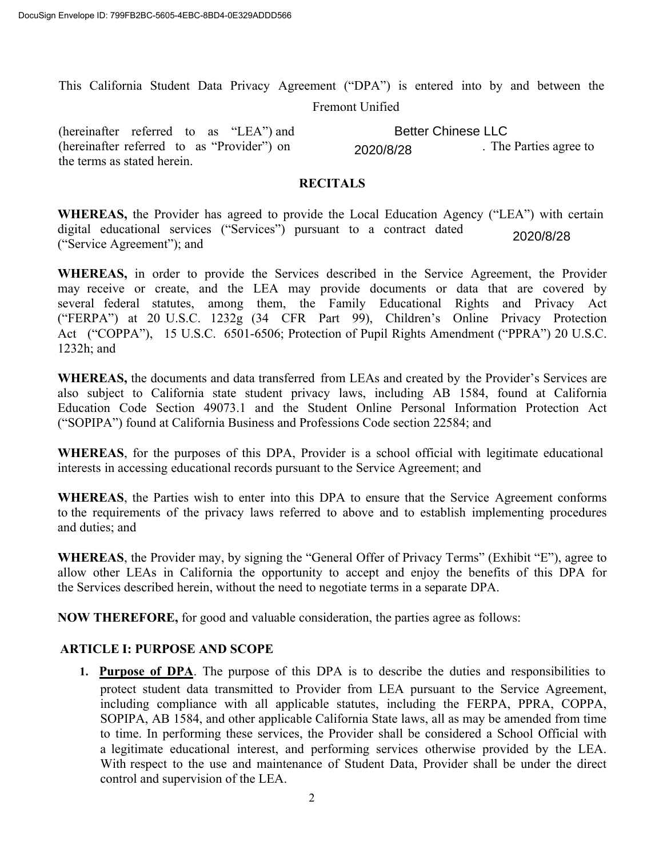This California Student Data Privacy Agreement ("DPA") is entered into by and between the Fremont Unified

(hereinafter referred to as "LEA") and (hereinafter referred to as "Provider") on 2020/8/28 The Parties agree to the terms as stated herein. Better Chinese LLC

#### **RECITALS**

**WHEREAS,** the Provider has agreed to provide the Local Education Agency ("LEA") with certain digital educational services ("Services") pursuant to a contract dated ("Service Agreement"); and 2020/8/28

**WHEREAS,** in order to provide the Services described in the Service Agreement, the Provider may receive or create, and the LEA may provide documents or data that are covered by several federal statutes, among them, the Family Educational Rights and Privacy Act ("FERPA") at 20 U.S.C. 1232g (34 CFR Part 99), Children's Online Privacy Protection Act ("COPPA"), 15 U.S.C. 6501-6506; Protection of Pupil Rights Amendment ("PPRA") 20 U.S.C. 1232h; and

**WHEREAS,** the documents and data transferred from LEAs and created by the Provider's Services are also subject to California state student privacy laws, including AB 1584, found at California Education Code Section 49073.1 and the Student Online Personal Information Protection Act ("SOPIPA") found at California Business and Professions Code section 22584; and

**WHEREAS**, for the purposes of this DPA, Provider is a school official with legitimate educational interests in accessing educational records pursuant to the Service Agreement; and

**WHEREAS**, the Parties wish to enter into this DPA to ensure that the Service Agreement conforms to the requirements of the privacy laws referred to above and to establish implementing procedures and duties; and

**WHEREAS**, the Provider may, by signing the "General Offer of Privacy Terms" (Exhibit "E"), agree to allow other LEAs in California the opportunity to accept and enjoy the benefits of this DPA for the Services described herein, without the need to negotiate terms in a separate DPA.

**NOW THEREFORE,** for good and valuable consideration, the parties agree as follows:

#### **ARTICLE I: PURPOSE AND SCOPE**

**1. Purpose of DPA**. The purpose of this DPA is to describe the duties and responsibilities to protect student data transmitted to Provider from LEA pursuant to the Service Agreement, including compliance with all applicable statutes, including the FERPA, PPRA, COPPA, SOPIPA, AB 1584, and other applicable California State laws, all as may be amended from time to time. In performing these services, the Provider shall be considered a School Official with a legitimate educational interest, and performing services otherwise provided by the LEA. With respect to the use and maintenance of Student Data, Provider shall be under the direct control and supervision of the LEA.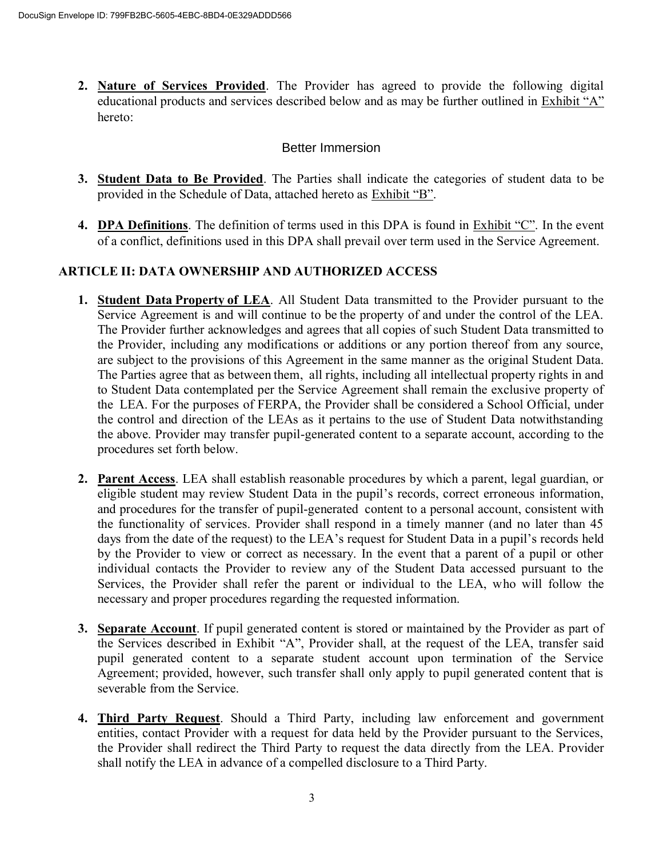**2. Nature of Services Provided**. The Provider has agreed to provide the following digital educational products and services described below and as may be further outlined in Exhibit "A" hereto:

## Better Immersion

- **3. Student Data to Be Provided**. The Parties shall indicate the categories of student data to be provided in the Schedule of Data, attached hereto as Exhibit "B".
- **4. DPA Definitions**. The definition of terms used in this DPA is found in Exhibit "C". In the event of a conflict, definitions used in this DPA shall prevail over term used in the Service Agreement.

# **ARTICLE II: DATA OWNERSHIP AND AUTHORIZED ACCESS**

- **1. Student Data Property of LEA**. All Student Data transmitted to the Provider pursuant to the Service Agreement is and will continue to be the property of and under the control of the LEA. The Provider further acknowledges and agrees that all copies of such Student Data transmitted to the Provider, including any modifications or additions or any portion thereof from any source, are subject to the provisions of this Agreement in the same manner as the original Student Data. The Parties agree that as between them,  all rights, including all intellectual property rights in and to Student Data contemplated per the Service Agreement shall remain the exclusive property of the LEA. For the purposes of FERPA, the Provider shall be considered a School Official, under the control and direction of the LEAs as it pertains to the use of Student Data notwithstanding the above. Provider may transfer pupil-generated content to a separate account, according to the procedures set forth below.
- **2. Parent Access**. LEA shall establish reasonable procedures by which a parent, legal guardian, or eligible student may review Student Data in the pupil's records, correct erroneous information, and procedures for the transfer of pupil-generated  content to a personal account, consistent with the functionality of services. Provider shall respond in a timely manner (and no later than 45 days from the date of the request) to the LEA's request for Student Data in a pupil's records held by the Provider to view or correct as necessary. In the event that a parent of a pupil or other individual contacts the Provider to review any of the Student Data accessed pursuant to the Services, the Provider shall refer the parent or individual to the LEA, who will follow the necessary and proper procedures regarding the requested information.
- **3. Separate Account**. If pupil generated content is stored or maintained by the Provider as part of the Services described in Exhibit "A", Provider shall, at the request of the LEA, transfer said pupil generated content to a separate student account upon termination of the Service Agreement; provided, however, such transfer shall only apply to pupil generated content that is severable from the Service.
- **4. Third Party Request**. Should a Third Party, including law enforcement and government entities, contact Provider with a request for data held by the Provider pursuant to the Services, the Provider shall redirect the Third Party to request the data directly from the LEA. Provider shall notify the LEA in advance of a compelled disclosure to a Third Party.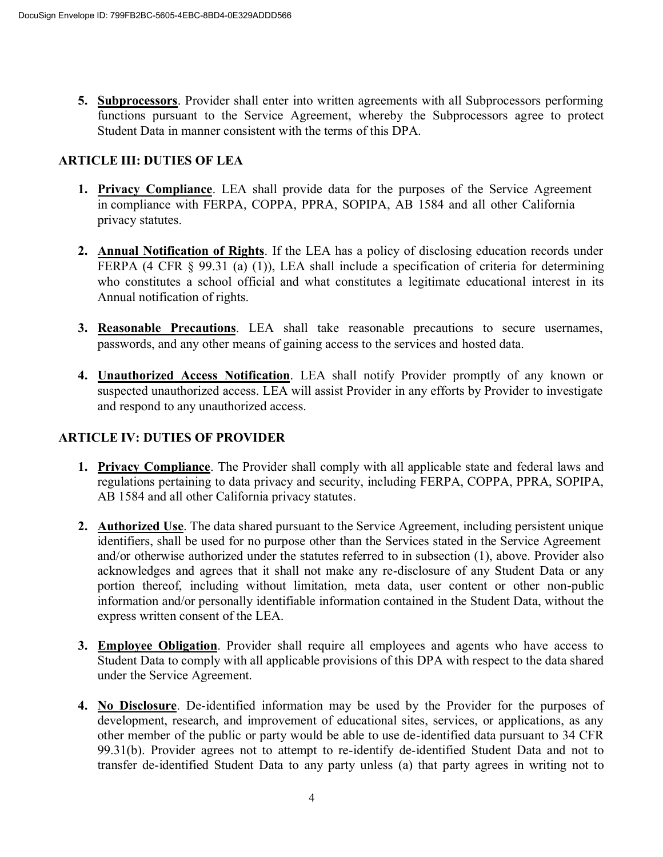**5. Subprocessors**. Provider shall enter into written agreements with all Subprocessors performing functions pursuant to the Service Agreement, whereby the Subprocessors agree to protect Student Data in manner consistent with the terms of this DPA.

#### **ARTICLE III: DUTIES OF LEA**

- **1. Privacy Compliance**. LEA shall provide data for the purposes of the Service Agreement in compliance with FERPA, COPPA, PPRA, SOPIPA, AB 1584 and all other California privacy statutes.
- **2. Annual Notification of Rights**. If the LEA has a policy of disclosing education records under FERPA (4 CFR  $\S$  99.31 (a) (1)), LEA shall include a specification of criteria for determining who constitutes a school official and what constitutes a legitimate educational interest in its Annual notification of rights.
- **3. Reasonable Precautions**. LEA shall take reasonable precautions to secure usernames, passwords, and any other means of gaining access to the services and hosted data.
- **4. Unauthorized Access Notification**. LEA shall notify Provider promptly of any known or suspected unauthorized access. LEA will assist Provider in any efforts by Provider to investigate and respond to any unauthorized access.

# **ARTICLE IV: DUTIES OF PROVIDER**

- **1. Privacy Compliance**. The Provider shall comply with all applicable state and federal laws and regulations pertaining to data privacy and security, including FERPA, COPPA, PPRA, SOPIPA, AB 1584 and all other California privacy statutes.
- **2. Authorized Use**. The data shared pursuant to the Service Agreement, including persistent unique identifiers, shall be used for no purpose other than the Services stated in the Service Agreement and/or otherwise authorized under the statutes referred to in subsection (1), above. Provider also acknowledges and agrees that it shall not make any re-disclosure of any Student Data or any portion thereof, including without limitation, meta data, user content or other non-public information and/or personally identifiable information contained in the Student Data, without the express written consent of the LEA.
- **3. Employee Obligation**. Provider shall require all employees and agents who have access to Student Data to comply with all applicable provisions of this DPA with respect to the data shared under the Service Agreement.
- **4. No Disclosure**. De-identified information may be used by the Provider for the purposes of development, research, and improvement of educational sites, services, or applications, as any other member of the public or party would be able to use de-identified data pursuant to 34 CFR 99.31(b). Provider agrees not to attempt to re-identify de-identified Student Data and not to transfer de-identified Student Data to any party unless (a) that party agrees in writing not to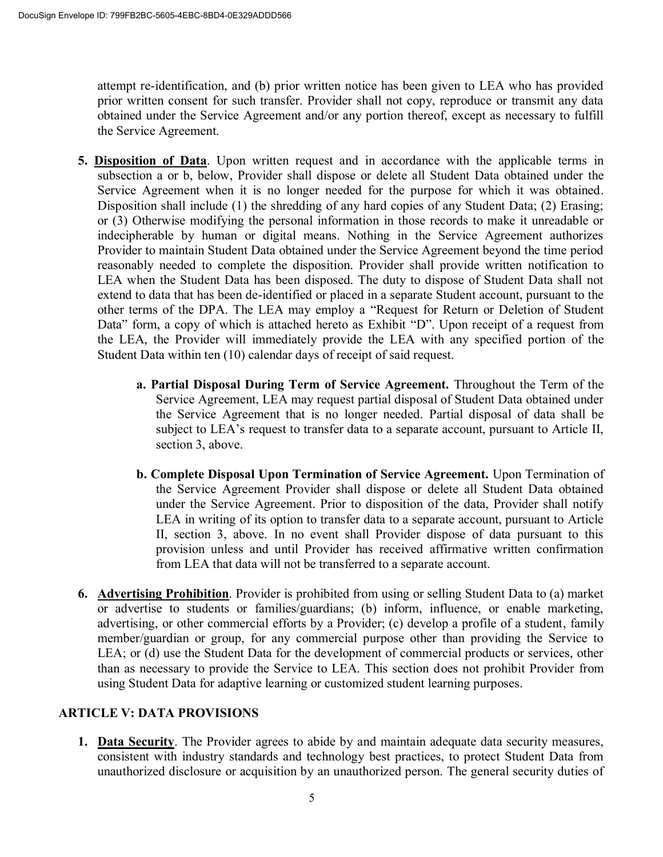attempt re-identification, and (b) prior written notice has been given to LEA who has provided prior written consent for such transfer. Provider shall not copy, reproduce or transmit any data obtained under the Service Agreement and/or any portion thereof, except as necessary to fulfill the Service Agreement.

- **5. Disposition of Data**. Upon written request and in accordance with the applicable terms in subsection a or b, below, Provider shall dispose or delete all Student Data obtained under the Service Agreement when it is no longer needed for the purpose for which it was obtained. Disposition shall include (1) the shredding of any hard copies of any Student Data; (2) Erasing; or (3) Otherwise modifying the personal information in those records to make it unreadable or indecipherable by human or digital means. Nothing in the Service Agreement authorizes Provider to maintain Student Data obtained under the Service Agreement beyond the time period reasonably needed to complete the disposition. Provider shall provide written notification to LEA when the Student Data has been disposed. The duty to dispose of Student Data shall not extend to data that has been de-identified or placed in a separate Student account, pursuant to the other terms of the DPA. The LEA may employ a "Request for Return or Deletion of Student Data" form, a copy of which is attached hereto as Exhibit "D". Upon receipt of a request from the LEA, the Provider will immediately provide the LEA with any specified portion of the Student Data within ten (10) calendar days of receipt of said request.
	- **a. Partial Disposal During Term of Service Agreement.** Throughout the Term of the Service Agreement, LEA may request partial disposal of Student Data obtained under the Service Agreement that is no longer needed. Partial disposal of data shall be subject to LEA's request to transfer data to a separate account, pursuant to Article II, section 3, above.
	- **b. Complete Disposal Upon Termination of Service Agreement.** Upon Termination of the Service Agreement Provider shall dispose or delete all Student Data obtained under the Service Agreement. Prior to disposition of the data, Provider shall notify LEA in writing of its option to transfer data to a separate account, pursuant to Article II, section 3, above. In no event shall Provider dispose of data pursuant to this provision unless and until Provider has received affirmative written confirmation from LEA that data will not be transferred to a separate account.
- **6. Advertising Prohibition**. Provider is prohibited from using or selling Student Data to (a) market or advertise to students or families/guardians; (b) inform, influence, or enable marketing, advertising, or other commercial efforts by a Provider; (c) develop a profile of a student, family member/guardian or group, for any commercial purpose other than providing the Service to LEA; or (d) use the Student Data for the development of commercial products or services, other than as necessary to provide the Service to LEA. This section does not prohibit Provider from using Student Data for adaptive learning or customized student learning purposes.

### **ARTICLE V: DATA PROVISIONS**

**1. Data Security**. The Provider agrees to abide by and maintain adequate data security measures, consistent with industry standards and technology best practices, to protect Student Data from unauthorized disclosure or acquisition by an unauthorized person. The general security duties of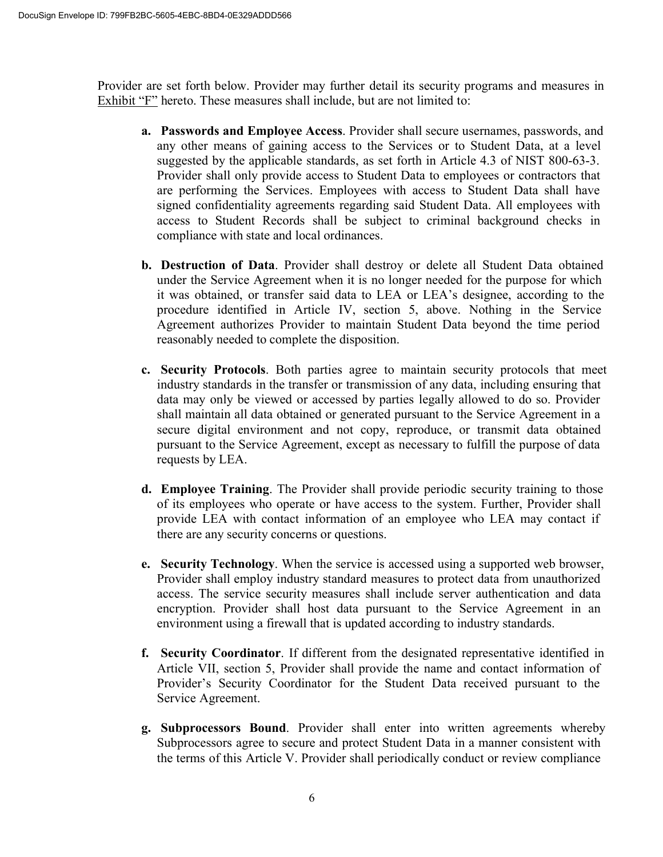Provider are set forth below. Provider may further detail its security programs and measures in Exhibit "F" hereto. These measures shall include, but are not limited to:

- **a. Passwords and Employee Access**. Provider shall secure usernames, passwords, and any other means of gaining access to the Services or to Student Data, at a level suggested by the applicable standards, as set forth in Article 4.3 of NIST 800-63-3. Provider shall only provide access to Student Data to employees or contractors that are performing the Services. Employees with access to Student Data shall have signed confidentiality agreements regarding said Student Data. All employees with access to Student Records shall be subject to criminal background checks in compliance with state and local ordinances.
- **b. Destruction of Data**. Provider shall destroy or delete all Student Data obtained under the Service Agreement when it is no longer needed for the purpose for which it was obtained, or transfer said data to LEA or LEA's designee, according to the procedure identified in Article IV, section 5, above. Nothing in the Service Agreement authorizes Provider to maintain Student Data beyond the time period reasonably needed to complete the disposition.
- **c. Security Protocols**. Both parties agree to maintain security protocols that meet industry standards in the transfer or transmission of any data, including ensuring that data may only be viewed or accessed by parties legally allowed to do so. Provider shall maintain all data obtained or generated pursuant to the Service Agreement in a secure digital environment and not copy, reproduce, or transmit data obtained pursuant to the Service Agreement, except as necessary to fulfill the purpose of data requests by LEA.
- **d. Employee Training**. The Provider shall provide periodic security training to those of its employees who operate or have access to the system. Further, Provider shall provide LEA with contact information of an employee who LEA may contact if there are any security concerns or questions.
- **e. Security Technology**. When the service is accessed using a supported web browser, Provider shall employ industry standard measures to protect data from unauthorized access. The service security measures shall include server authentication and data encryption. Provider shall host data pursuant to the Service Agreement in an environment using a firewall that is updated according to industry standards.
- **f. Security Coordinator**. If different from the designated representative identified in Article VII, section 5, Provider shall provide the name and contact information of Provider's Security Coordinator for the Student Data received pursuant to the Service Agreement.
- **g. Subprocessors Bound**. Provider shall enter into written agreements whereby Subprocessors agree to secure and protect Student Data in a manner consistent with the terms of this Article V. Provider shall periodically conduct or review compliance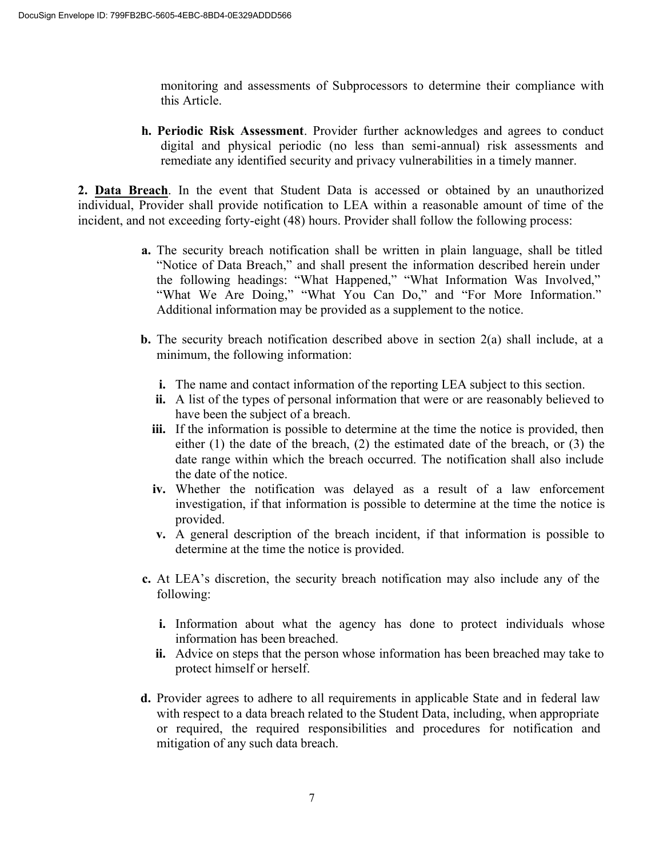monitoring and assessments of Subprocessors to determine their compliance with this Article.

**h. Periodic Risk Assessment**. Provider further acknowledges and agrees to conduct digital and physical periodic (no less than semi-annual) risk assessments and remediate any identified security and privacy vulnerabilities in a timely manner.

**2. Data Breach**. In the event that Student Data is accessed or obtained by an unauthorized individual, Provider shall provide notification to LEA within a reasonable amount of time of the incident, and not exceeding forty-eight (48) hours. Provider shall follow the following process:

- **a.** The security breach notification shall be written in plain language, shall be titled "Notice of Data Breach," and shall present the information described herein under the following headings: "What Happened," "What Information Was Involved," "What We Are Doing," "What You Can Do," and "For More Information." Additional information may be provided as a supplement to the notice.
- **b.** The security breach notification described above in section  $2(a)$  shall include, at a minimum, the following information:
	- **i.** The name and contact information of the reporting LEA subject to this section.
	- **ii.** A list of the types of personal information that were or are reasonably believed to have been the subject of a breach.
	- **iii.** If the information is possible to determine at the time the notice is provided, then either (1) the date of the breach, (2) the estimated date of the breach, or (3) the date range within which the breach occurred. The notification shall also include the date of the notice.
	- **iv.** Whether the notification was delayed as a result of a law enforcement investigation, if that information is possible to determine at the time the notice is provided.
	- **v.** A general description of the breach incident, if that information is possible to determine at the time the notice is provided.
- **c.** At LEA's discretion, the security breach notification may also include any of the following:
	- **i.** Information about what the agency has done to protect individuals whose information has been breached.
	- **ii.** Advice on steps that the person whose information has been breached may take to protect himself or herself.
- **d.** Provider agrees to adhere to all requirements in applicable State and in federal law with respect to a data breach related to the Student Data, including, when appropriate or required, the required responsibilities and procedures for notification and mitigation of any such data breach.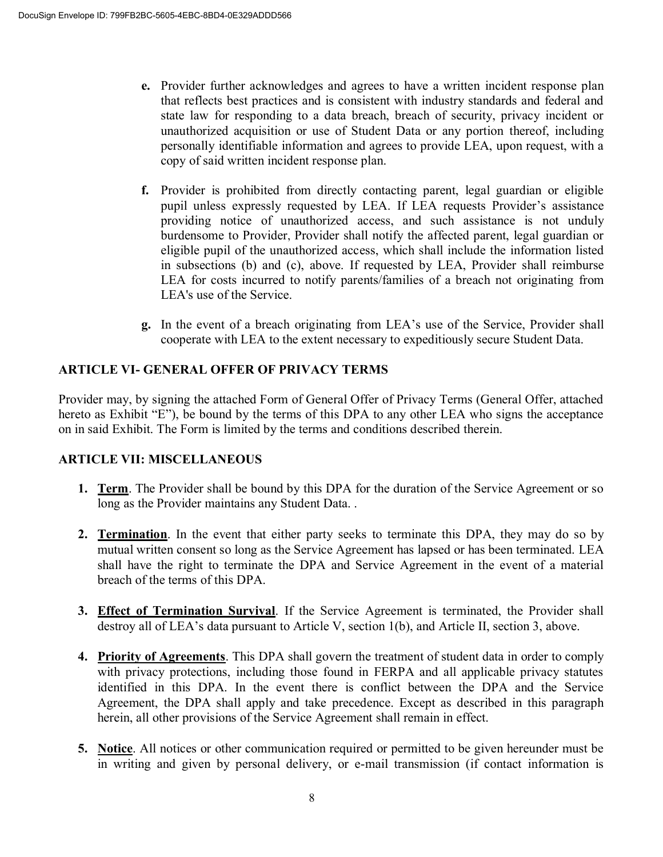- **e.** Provider further acknowledges and agrees to have a written incident response plan that reflects best practices and is consistent with industry standards and federal and state law for responding to a data breach, breach of security, privacy incident or unauthorized acquisition or use of Student Data or any portion thereof, including personally identifiable information and agrees to provide LEA, upon request, with a copy of said written incident response plan.
- **f.** Provider is prohibited from directly contacting parent, legal guardian or eligible pupil unless expressly requested by LEA. If LEA requests Provider's assistance providing notice of unauthorized access, and such assistance is not unduly burdensome to Provider, Provider shall notify the affected parent, legal guardian or eligible pupil of the unauthorized access, which shall include the information listed in subsections (b) and (c), above. If requested by LEA, Provider shall reimburse LEA for costs incurred to notify parents/families of a breach not originating from LEA's use of the Service.
- **g.** In the event of a breach originating from LEA's use of the Service, Provider shall cooperate with LEA to the extent necessary to expeditiously secure Student Data.

# **ARTICLE VI- GENERAL OFFER OF PRIVACY TERMS**

Provider may, by signing the attached Form of General Offer of Privacy Terms (General Offer, attached hereto as Exhibit "E"), be bound by the terms of this DPA to any other LEA who signs the acceptance on in said Exhibit. The Form is limited by the terms and conditions described therein.

# **ARTICLE VII: MISCELLANEOUS**

- **1. Term**. The Provider shall be bound by this DPA for the duration of the Service Agreement or so long as the Provider maintains any Student Data. .
- **2. Termination**. In the event that either party seeks to terminate this DPA, they may do so by mutual written consent so long as the Service Agreement has lapsed or has been terminated. LEA shall have the right to terminate the DPA and Service Agreement in the event of a material breach of the terms of this DPA.
- **3. Effect of Termination Survival**. If the Service Agreement is terminated, the Provider shall destroy all of LEA's data pursuant to Article V, section 1(b), and Article II, section 3, above.
- **4. Priority of Agreements**. This DPA shall govern the treatment of student data in order to comply with privacy protections, including those found in FERPA and all applicable privacy statutes identified in this DPA. In the event there is conflict between the DPA and the Service Agreement, the DPA shall apply and take precedence. Except as described in this paragraph herein, all other provisions of the Service Agreement shall remain in effect.
- **5. Notice**. All notices or other communication required or permitted to be given hereunder must be in writing and given by personal delivery, or e-mail transmission (if contact information is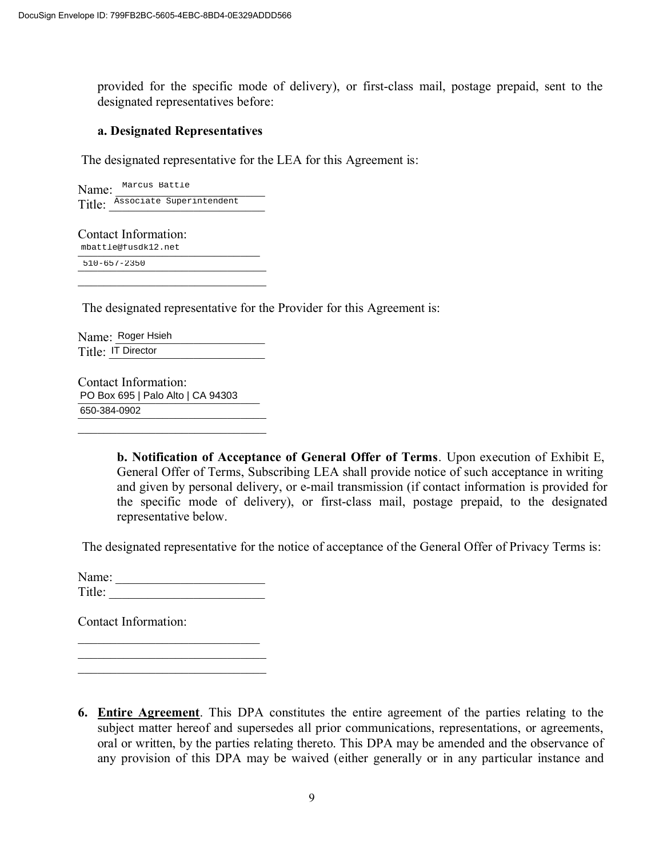provided for the specific mode of delivery), or first-class mail, postage prepaid, sent to the designated representatives before:

#### **a. Designated Representatives**

The designated representative for the LEA for this Agreement is:

Name: Marcus Battle Title: Associate Superintendent

Contact Information: mbattle@fusdk12.net  $\overline{510-657-2350}$  $\overline{\mathcal{L}}$  , and the set of the set of the set of the set of the set of the set of the set of the set of the set of the set of the set of the set of the set of the set of the set of the set of the set of the set of the s Name: Marcus Battle<br>
Title: <u>Associate Superintendent</u><br>
Contact Information:<br>
mbattle@fusdk12.net<br>
510-657-2350<br>
The designated representative<br>
Name: Roger Hsieh<br>
Title: IT Director<br>
Contact Information:<br>
PO Box 695 | Palo

The designated representative for the Provider for this Agreement is:

Name: Roger Hsieh Title: <u>IT Director</u>

Contact Information: PO Box 695 | Palo Alto | CA 94303 650-384-0902

 $\overline{\mathcal{L}}$  , and the set of the set of the set of the set of the set of the set of the set of the set of the set of the set of the set of the set of the set of the set of the set of the set of the set of the set of the s

**b. Notification of Acceptance of General Offer of Terms**. Upon execution of Exhibit E, General Offer of Terms, Subscribing LEA shall provide notice of such acceptance in writing and given by personal delivery, or e-mail transmission (if contact information is provided for the specific mode of delivery), or first-class mail, postage prepaid, to the designated representative below.

The designated representative for the notice of acceptance of the General Offer of Privacy Terms is:

Name: \_\_\_\_\_\_\_\_\_\_\_\_\_\_\_\_\_\_\_\_\_\_\_ Title: \_\_\_\_\_\_\_\_\_\_\_\_\_\_\_\_\_\_\_\_\_\_\_\_

 $\overline{\mathcal{L}}$  , and the set of the set of the set of the set of the set of the set of the set of the set of the set of the set of the set of the set of the set of the set of the set of the set of the set of the set of the s  $\overline{\mathcal{L}}$  , and the set of the set of the set of the set of the set of the set of the set of the set of the set of the set of the set of the set of the set of the set of the set of the set of the set of the set of the s  $\overline{\mathcal{L}}$  , and the set of the set of the set of the set of the set of the set of the set of the set of the set of the set of the set of the set of the set of the set of the set of the set of the set of the set of the s

Contact Information:

**6. Entire Agreement**. This DPA constitutes the entire agreement of the parties relating to the subject matter hereof and supersedes all prior communications, representations, or agreements, oral or written, by the parties relating thereto. This DPA may be amended and the observance of any provision of this DPA may be waived (either generally or in any particular instance and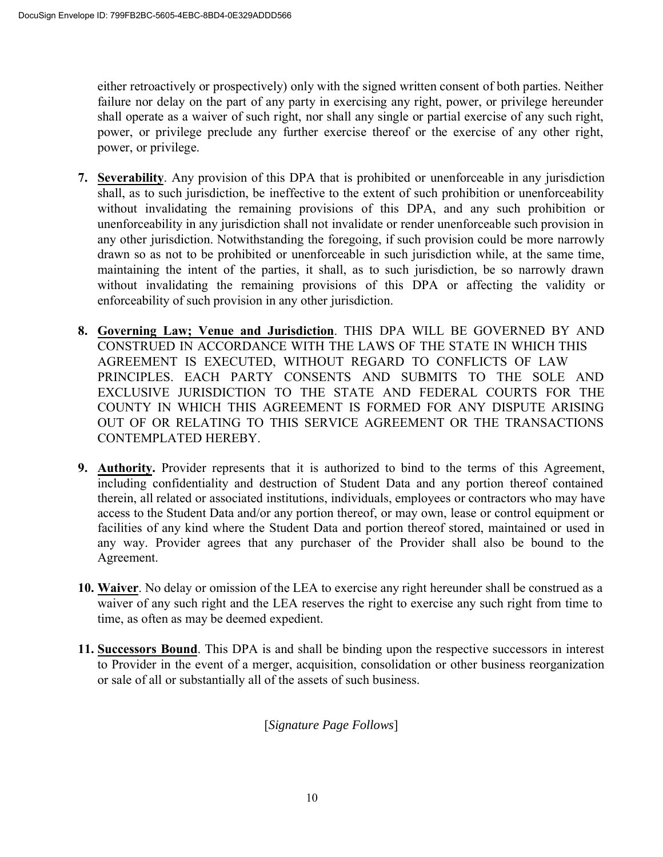either retroactively or prospectively) only with the signed written consent of both parties. Neither failure nor delay on the part of any party in exercising any right, power, or privilege hereunder shall operate as a waiver of such right, nor shall any single or partial exercise of any such right, power, or privilege preclude any further exercise thereof or the exercise of any other right, power, or privilege.

- **7. Severability**. Any provision of this DPA that is prohibited or unenforceable in any jurisdiction shall, as to such jurisdiction, be ineffective to the extent of such prohibition or unenforceability without invalidating the remaining provisions of this DPA, and any such prohibition or unenforceability in any jurisdiction shall not invalidate or render unenforceable such provision in any other jurisdiction. Notwithstanding the foregoing, if such provision could be more narrowly drawn so as not to be prohibited or unenforceable in such jurisdiction while, at the same time, maintaining the intent of the parties, it shall, as to such jurisdiction, be so narrowly drawn without invalidating the remaining provisions of this DPA or affecting the validity or enforceability of such provision in any other jurisdiction.
- **8. Governing Law; Venue and Jurisdiction**. THIS DPA WILL BE GOVERNED BY AND CONSTRUED IN ACCORDANCE WITH THE LAWS OF THE STATE IN WHICH THIS AGREEMENT IS EXECUTED, WITHOUT REGARD TO CONFLICTS OF LAW PRINCIPLES. EACH PARTY CONSENTS AND SUBMITS TO THE SOLE AND EXCLUSIVE JURISDICTION TO THE STATE AND FEDERAL COURTS FOR THE COUNTY IN WHICH THIS AGREEMENT IS FORMED FOR ANY DISPUTE ARISING OUT OF OR RELATING TO THIS SERVICE AGREEMENT OR THE TRANSACTIONS CONTEMPLATED HEREBY.
- **9. Authority.** Provider represents that it is authorized to bind to the terms of this Agreement, including confidentiality and destruction of Student Data and any portion thereof contained therein, all related or associated institutions, individuals, employees or contractors who may have access to the Student Data and/or any portion thereof, or may own, lease or control equipment or facilities of any kind where the Student Data and portion thereof stored, maintained or used in any way. Provider agrees that any purchaser of the Provider shall also be bound to the Agreement.
- **10. Waiver**. No delay or omission of the LEA to exercise any right hereunder shall be construed as a waiver of any such right and the LEA reserves the right to exercise any such right from time to time, as often as may be deemed expedient.
- **11. Successors Bound**. This DPA is and shall be binding upon the respective successors in interest to Provider in the event of a merger, acquisition, consolidation or other business reorganization or sale of all or substantially all of the assets of such business.

[*Signature Page Follows*]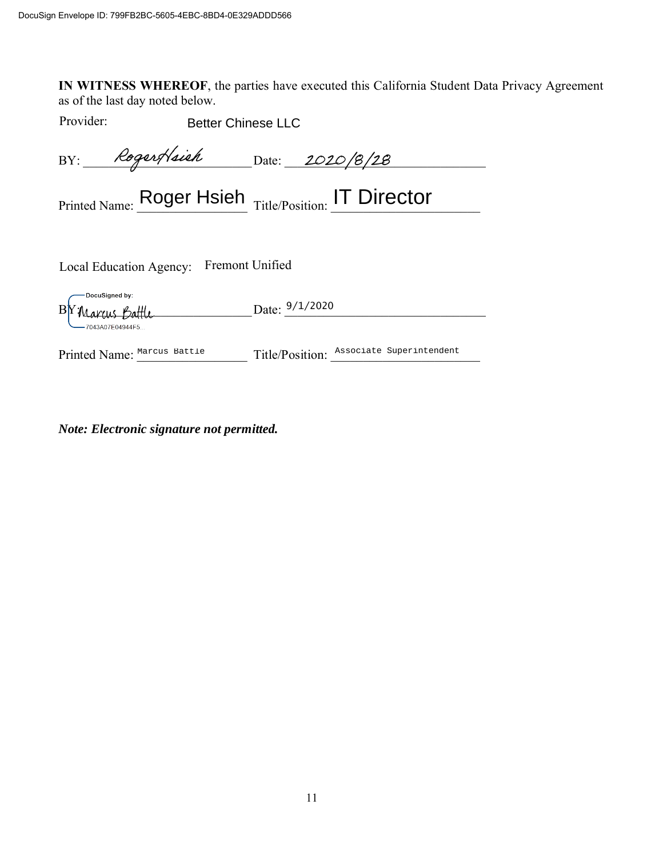**IN WITNESS WHEREOF**, the parties have executed this California Student Data Privacy Agreement as of the last day noted below.

Provider:

| Provider:                                             | <b>Better Chinese LLC</b>                |  |  |  |
|-------------------------------------------------------|------------------------------------------|--|--|--|
| BY: Rogert/sich Date: 2020/8/28                       |                                          |  |  |  |
| Printed Name: Roger Hsieh Title/Position: IT Director |                                          |  |  |  |
| Local Education Agency: Fremont Unified               |                                          |  |  |  |
| DocuSigned by:<br>B Y Marcus Battle                   | Date: $9/1/2020$                         |  |  |  |
| Printed Name: Marcus Battle                           | Title/Position: Associate Superintendent |  |  |  |

*Note: Electronic signature not permitted.*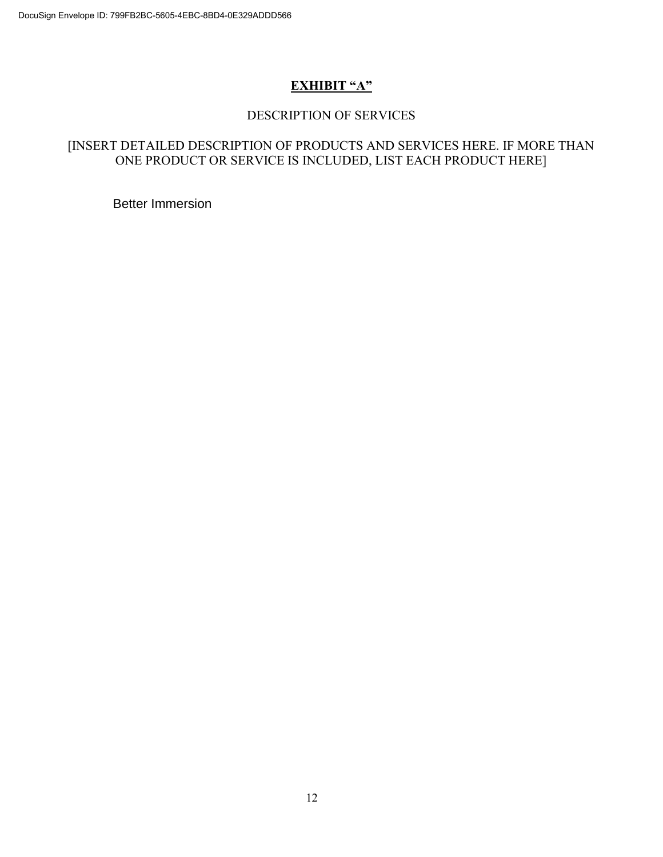# **EXHIBIT "A"**

#### DESCRIPTION OF SERVICES

### [INSERT DETAILED DESCRIPTION OF PRODUCTS AND SERVICES HERE. IF MORE THAN ONE PRODUCT OR SERVICE IS INCLUDED, LIST EACH PRODUCT HERE]

Better Immersion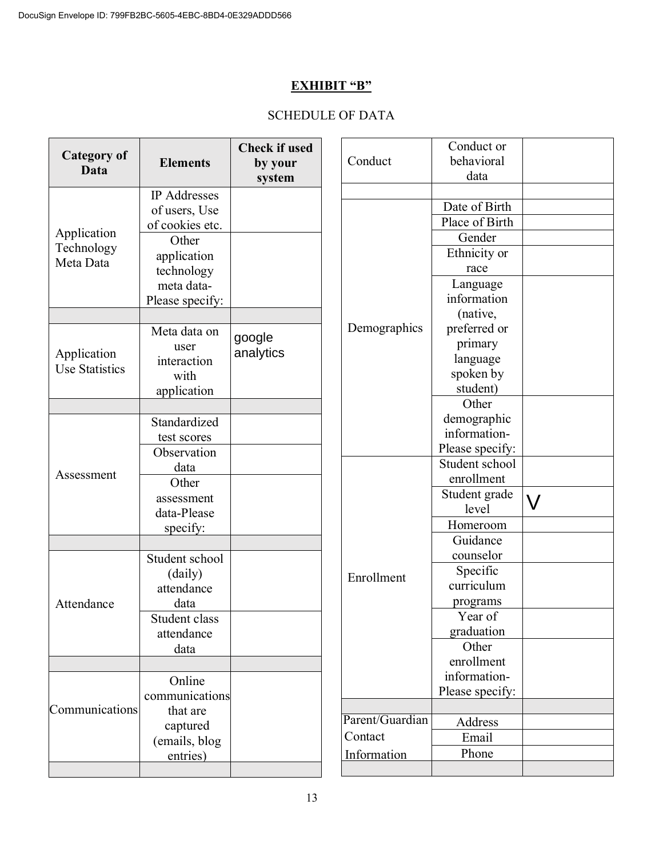# **EXHIBIT "B"**

# SCHEDULE OF DATA

| <b>Category of</b><br>Data | <b>Elements</b> | <b>Check if used</b><br>by your<br>system | Conduct         | Conduct or<br>behavioral<br>data |           |
|----------------------------|-----------------|-------------------------------------------|-----------------|----------------------------------|-----------|
|                            | IP Addresses    |                                           |                 |                                  |           |
|                            | of users, Use   |                                           |                 | Date of Birth                    |           |
| Application                | of cookies etc. |                                           |                 | Place of Birth                   |           |
| Technology                 | Other           |                                           |                 | Gender                           |           |
| Meta Data                  | application     |                                           |                 | Ethnicity or                     |           |
|                            | technology      |                                           |                 | race                             |           |
|                            | meta data-      |                                           |                 | Language<br>information          |           |
|                            | Please specify: |                                           |                 | (native,                         |           |
|                            | Meta data on    |                                           | Demographics    | preferred or                     |           |
|                            | user            | google                                    |                 | primary                          |           |
| Application                | interaction     | analytics                                 |                 | language                         |           |
| <b>Use Statistics</b>      | with            |                                           |                 | spoken by                        |           |
|                            | application     |                                           |                 | student)                         |           |
|                            |                 |                                           |                 | Other                            |           |
|                            | Standardized    |                                           |                 | demographic                      |           |
|                            | test scores     |                                           |                 | information-                     |           |
|                            | Observation     |                                           |                 | Please specify:                  |           |
| Assessment                 | data            |                                           |                 | Student school                   |           |
|                            | Other           |                                           |                 | enrollment                       |           |
|                            | assessment      |                                           |                 | Student grade<br>level           | $\bigvee$ |
|                            | data-Please     |                                           |                 | Homeroom                         |           |
|                            | specify:        |                                           |                 | Guidance                         |           |
|                            | Student school  |                                           |                 | counselor                        |           |
|                            | (daily)         |                                           |                 | Specific                         |           |
| Attendance                 | attendance      |                                           | Enrollment      | curriculum                       |           |
|                            | data            |                                           |                 | programs                         |           |
|                            | Student class   |                                           |                 | Year of                          |           |
|                            | attendance      |                                           |                 | graduation                       |           |
|                            | data            |                                           |                 | Other                            |           |
|                            |                 |                                           |                 | enrollment                       |           |
|                            | Online          |                                           |                 | information-                     |           |
|                            | communications  |                                           |                 | Please specify:                  |           |
| Communications             | that are        |                                           | Parent/Guardian |                                  |           |
|                            | captured        |                                           | Contact         | Address<br>Email                 |           |
|                            | (emails, blog   |                                           |                 | Phone                            |           |
|                            | entries)        |                                           | Information     |                                  |           |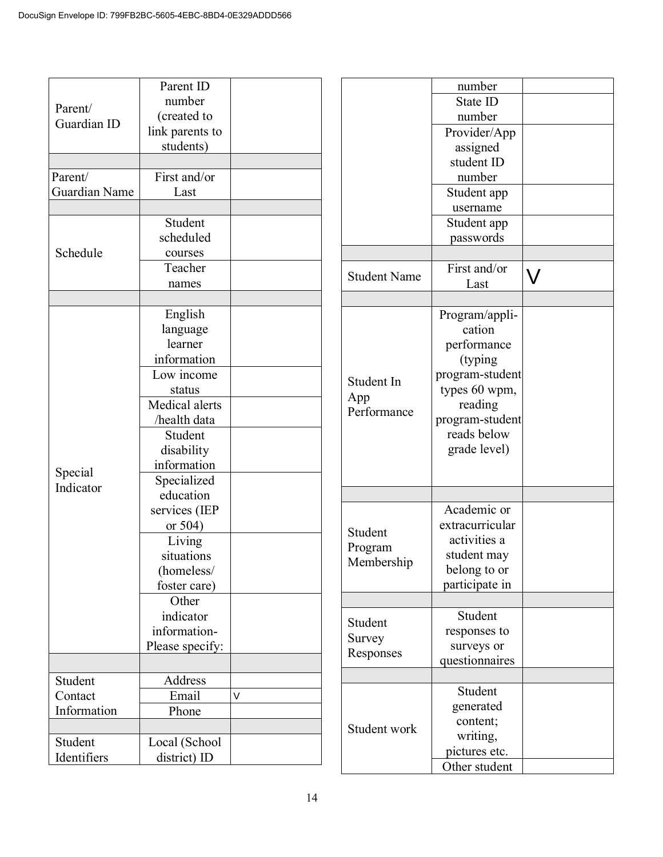| Student       |                                                                                                                                                                                                                                                                                                                                                                                                              |
|---------------|--------------------------------------------------------------------------------------------------------------------------------------------------------------------------------------------------------------------------------------------------------------------------------------------------------------------------------------------------------------------------------------------------------------|
| scheduled     |                                                                                                                                                                                                                                                                                                                                                                                                              |
| courses       |                                                                                                                                                                                                                                                                                                                                                                                                              |
| Teacher       |                                                                                                                                                                                                                                                                                                                                                                                                              |
| names         |                                                                                                                                                                                                                                                                                                                                                                                                              |
|               |                                                                                                                                                                                                                                                                                                                                                                                                              |
|               |                                                                                                                                                                                                                                                                                                                                                                                                              |
|               |                                                                                                                                                                                                                                                                                                                                                                                                              |
| learner       |                                                                                                                                                                                                                                                                                                                                                                                                              |
|               |                                                                                                                                                                                                                                                                                                                                                                                                              |
|               |                                                                                                                                                                                                                                                                                                                                                                                                              |
|               |                                                                                                                                                                                                                                                                                                                                                                                                              |
|               |                                                                                                                                                                                                                                                                                                                                                                                                              |
|               |                                                                                                                                                                                                                                                                                                                                                                                                              |
|               |                                                                                                                                                                                                                                                                                                                                                                                                              |
|               |                                                                                                                                                                                                                                                                                                                                                                                                              |
|               |                                                                                                                                                                                                                                                                                                                                                                                                              |
|               |                                                                                                                                                                                                                                                                                                                                                                                                              |
|               |                                                                                                                                                                                                                                                                                                                                                                                                              |
|               |                                                                                                                                                                                                                                                                                                                                                                                                              |
|               |                                                                                                                                                                                                                                                                                                                                                                                                              |
|               |                                                                                                                                                                                                                                                                                                                                                                                                              |
|               |                                                                                                                                                                                                                                                                                                                                                                                                              |
|               |                                                                                                                                                                                                                                                                                                                                                                                                              |
|               |                                                                                                                                                                                                                                                                                                                                                                                                              |
|               |                                                                                                                                                                                                                                                                                                                                                                                                              |
|               |                                                                                                                                                                                                                                                                                                                                                                                                              |
|               |                                                                                                                                                                                                                                                                                                                                                                                                              |
|               |                                                                                                                                                                                                                                                                                                                                                                                                              |
|               |                                                                                                                                                                                                                                                                                                                                                                                                              |
|               |                                                                                                                                                                                                                                                                                                                                                                                                              |
| Address       |                                                                                                                                                                                                                                                                                                                                                                                                              |
| Email         | V                                                                                                                                                                                                                                                                                                                                                                                                            |
| Phone         |                                                                                                                                                                                                                                                                                                                                                                                                              |
|               |                                                                                                                                                                                                                                                                                                                                                                                                              |
| Local (School |                                                                                                                                                                                                                                                                                                                                                                                                              |
| district) ID  |                                                                                                                                                                                                                                                                                                                                                                                                              |
|               | Parent ID<br>number<br>(created to<br>link parents to<br>students)<br>First and/or<br>Last<br>English<br>language<br>information<br>Low income<br>status<br>Medical alerts<br>/health data<br>Student<br>disability<br>information<br>Specialized<br>education<br>services (IEP<br>or $504$ )<br>Living<br>situations<br>(homeless/<br>foster care)<br>Other<br>indicator<br>information-<br>Please specify: |

|                     | number          |  |
|---------------------|-----------------|--|
|                     |                 |  |
|                     | State ID        |  |
|                     | number          |  |
|                     | Provider/App    |  |
|                     | assigned        |  |
|                     | student ID      |  |
|                     | number          |  |
|                     | Student app     |  |
|                     | username        |  |
|                     | Student app     |  |
|                     | passwords       |  |
|                     |                 |  |
|                     | First and/or    |  |
| <b>Student Name</b> | Last            |  |
|                     |                 |  |
|                     | Program/appli-  |  |
|                     | cation          |  |
|                     | performance     |  |
|                     |                 |  |
|                     | (typing)        |  |
| Student In          | program-student |  |
| App                 | types 60 wpm,   |  |
| Performance         | reading         |  |
|                     | program-student |  |
|                     | reads below     |  |
|                     | grade level)    |  |
|                     |                 |  |
|                     |                 |  |
|                     |                 |  |
|                     | Academic or     |  |
| Student             | extracurricular |  |
|                     | activities a    |  |
| Program             | student may     |  |
| Membership          | belong to or    |  |
|                     | participate in  |  |
|                     |                 |  |
|                     | Student         |  |
| Student             | responses to    |  |
| Survey              | surveys or      |  |
| Responses           | questionnaires  |  |
|                     |                 |  |
|                     | Student         |  |
|                     |                 |  |
|                     | generated       |  |
| Student work        | content;        |  |
|                     | writing,        |  |
|                     | pictures etc.   |  |
|                     | Other student   |  |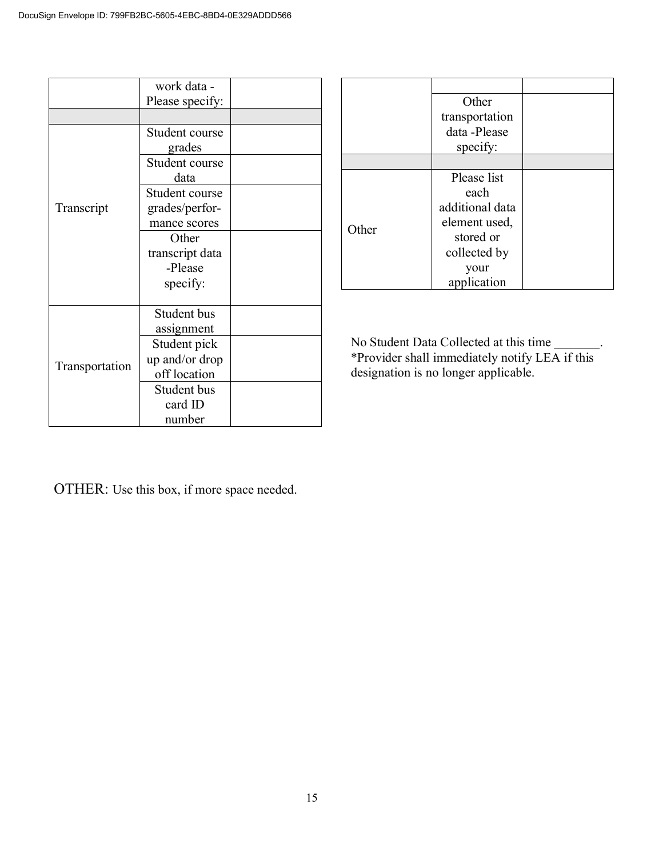|                | work data -     |  |
|----------------|-----------------|--|
|                | Please specify: |  |
|                |                 |  |
|                | Student course  |  |
|                | grades          |  |
|                | Student course  |  |
|                | data            |  |
|                | Student course  |  |
| Transcript     | grades/perfor-  |  |
|                | mance scores    |  |
|                | Other           |  |
|                | transcript data |  |
|                | -Please         |  |
|                | specify:        |  |
|                |                 |  |
|                | Student bus     |  |
| Transportation | assignment      |  |
|                | Student pick    |  |
|                | up and/or drop  |  |
|                | off location    |  |
|                | Student bus     |  |
|                | card ID         |  |
|                | number          |  |

|       | Other<br>transportation<br>data -Please<br>specify:                                                            |  |
|-------|----------------------------------------------------------------------------------------------------------------|--|
|       |                                                                                                                |  |
| Other | Please list<br>each<br>additional data<br>element used,<br>stored or<br>collected by<br>your<br>lication<br>ap |  |

No Student Data Collected at this time \_\_\_\_\_\_\_. \*Provider shall immediately notify LEA if this designation is no longer applicable.

OTHER: Use this box, if more space needed.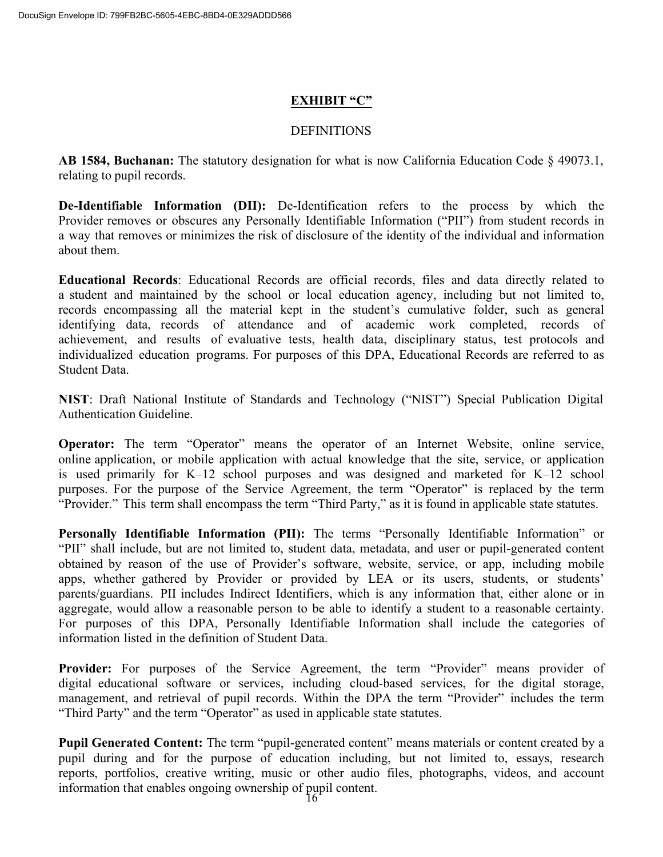### **EXHIBIT "C"**

#### **DEFINITIONS**

**AB 1584, Buchanan:** The statutory designation for what is now California Education Code § 49073.1, relating to pupil records.

**De-Identifiable Information (DII):** De-Identification refers to the process by which the Provider removes or obscures any Personally Identifiable Information ("PII") from student records in a way that removes or minimizes the risk of disclosure of the identity of the individual and information about them.

**Educational Records**: Educational Records are official records, files and data directly related to a student and maintained by the school or local education agency, including but not limited to, records encompassing all the material kept in the student's cumulative folder, such as general identifying data, records of attendance and of academic work completed, records of achievement, and results of evaluative tests, health data, disciplinary status, test protocols and individualized education programs. For purposes of this DPA, Educational Records are referred to as Student Data.

**NIST**: Draft National Institute of Standards and Technology ("NIST") Special Publication Digital Authentication Guideline.

**Operator:** The term "Operator" means the operator of an Internet Website, online service, online application, or mobile application with actual knowledge that the site, service, or application is used primarily for K–12 school purposes and was designed and marketed for K–12 school purposes. For the purpose of the Service Agreement, the term "Operator" is replaced by the term "Provider." This term shall encompass the term "Third Party," as it is found in applicable state statutes.

**Personally Identifiable Information (PII):** The terms "Personally Identifiable Information" or "PII" shall include, but are not limited to, student data, metadata, and user or pupil-generated content obtained by reason of the use of Provider's software, website, service, or app, including mobile apps, whether gathered by Provider or provided by LEA or its users, students, or students' parents/guardians. PII includes Indirect Identifiers, which is any information that, either alone or in aggregate, would allow a reasonable person to be able to identify a student to a reasonable certainty. For purposes of this DPA, Personally Identifiable Information shall include the categories of information listed in the definition of Student Data.

Provider: For purposes of the Service Agreement, the term "Provider" means provider of digital educational software or services, including cloud-based services, for the digital storage, management, and retrieval of pupil records. Within the DPA the term "Provider" includes the term "Third Party" and the term "Operator" as used in applicable state statutes.

**Pupil Generated Content:** The term "pupil-generated content" means materials or content created by a pupil during and for the purpose of education including, but not limited to, essays, research reports, portfolios, creative writing, music or other audio files, photographs, videos, and account information that enables ongoing ownership of pupil content.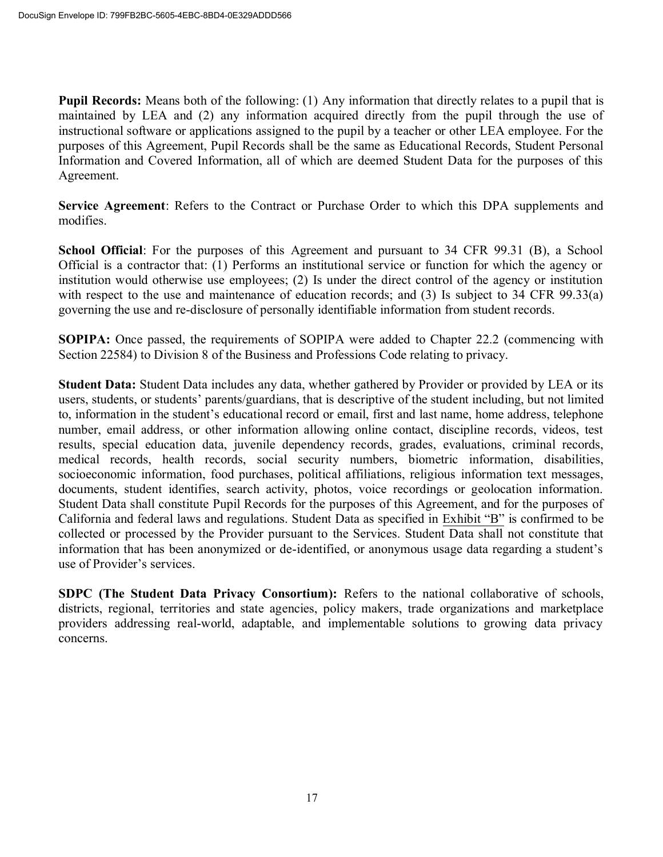**Pupil Records:** Means both of the following: (1) Any information that directly relates to a pupil that is maintained by LEA and (2) any information acquired directly from the pupil through the use of instructional software or applications assigned to the pupil by a teacher or other LEA employee. For the purposes of this Agreement, Pupil Records shall be the same as Educational Records, Student Personal Information and Covered Information, all of which are deemed Student Data for the purposes of this Agreement.

**Service Agreement**: Refers to the Contract or Purchase Order to which this DPA supplements and modifies.

**School Official**: For the purposes of this Agreement and pursuant to 34 CFR 99.31 (B), a School Official is a contractor that: (1) Performs an institutional service or function for which the agency or institution would otherwise use employees; (2) Is under the direct control of the agency or institution with respect to the use and maintenance of education records; and (3) Is subject to 34 CFR 99.33(a) governing the use and re-disclosure of personally identifiable information from student records.

**SOPIPA:** Once passed, the requirements of SOPIPA were added to Chapter 22.2 (commencing with Section 22584) to Division 8 of the Business and Professions Code relating to privacy.

**Student Data:** Student Data includes any data, whether gathered by Provider or provided by LEA or its users, students, or students' parents/guardians, that is descriptive of the student including, but not limited to, information in the student's educational record or email, first and last name, home address, telephone number, email address, or other information allowing online contact, discipline records, videos, test results, special education data, juvenile dependency records, grades, evaluations, criminal records, medical records, health records, social security numbers, biometric information, disabilities, socioeconomic information, food purchases, political affiliations, religious information text messages, documents, student identifies, search activity, photos, voice recordings or geolocation information. Student Data shall constitute Pupil Records for the purposes of this Agreement, and for the purposes of California and federal laws and regulations. Student Data as specified in Exhibit "B" is confirmed to be collected or processed by the Provider pursuant to the Services. Student Data shall not constitute that information that has been anonymized or de-identified, or anonymous usage data regarding a student's use of Provider's services.

**SDPC (The Student Data Privacy Consortium):** Refers to the national collaborative of schools, districts, regional, territories and state agencies, policy makers, trade organizations and marketplace providers addressing real-world, adaptable, and implementable solutions to growing data privacy concerns.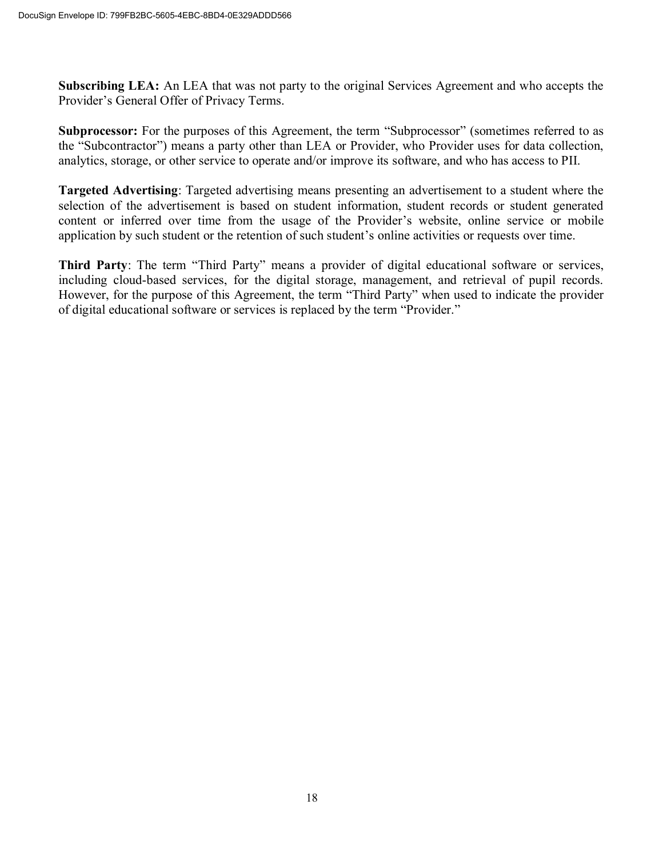**Subscribing LEA:** An LEA that was not party to the original Services Agreement and who accepts the Provider's General Offer of Privacy Terms.

**Subprocessor:** For the purposes of this Agreement, the term "Subprocessor" (sometimes referred to as the "Subcontractor") means a party other than LEA or Provider, who Provider uses for data collection, analytics, storage, or other service to operate and/or improve its software, and who has access to PII.

**Targeted Advertising**: Targeted advertising means presenting an advertisement to a student where the selection of the advertisement is based on student information, student records or student generated content or inferred over time from the usage of the Provider's website, online service or mobile application by such student or the retention of such student's online activities or requests over time.

**Third Party**: The term "Third Party" means a provider of digital educational software or services, including cloud-based services, for the digital storage, management, and retrieval of pupil records. However, for the purpose of this Agreement, the term "Third Party" when used to indicate the provider of digital educational software or services is replaced by the term "Provider."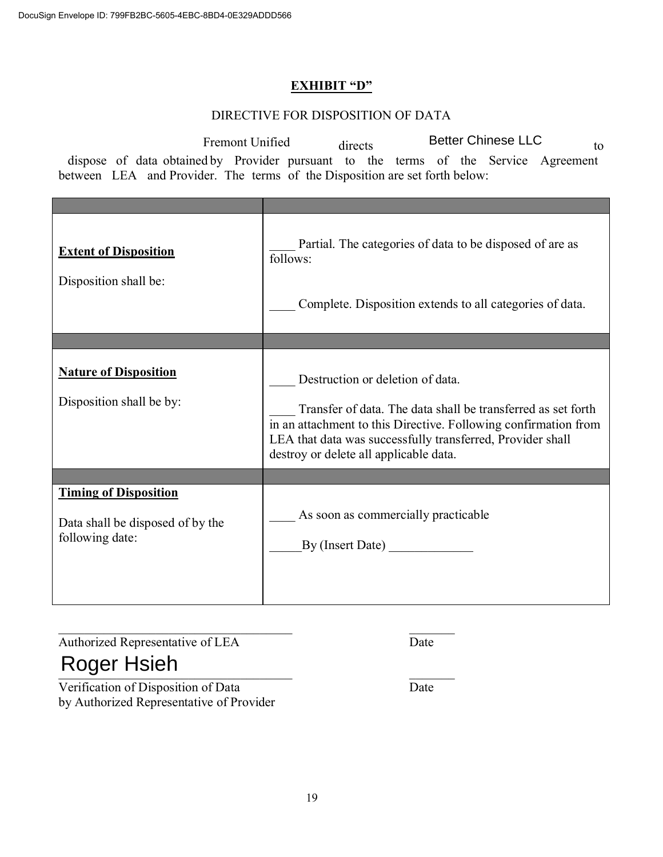#### **EXHIBIT "D"**

#### DIRECTIVE FOR DISPOSITION OF DATA

| <b>Better Chinese LLC</b><br>Fremont Unified<br>directs<br>to<br>dispose of data obtained by Provider pursuant to the terms of the Service Agreement<br>between LEA and Provider. The terms of the Disposition are set forth below: |                                                                                                                                                                                                                                                                             |  |  |  |
|-------------------------------------------------------------------------------------------------------------------------------------------------------------------------------------------------------------------------------------|-----------------------------------------------------------------------------------------------------------------------------------------------------------------------------------------------------------------------------------------------------------------------------|--|--|--|
|                                                                                                                                                                                                                                     |                                                                                                                                                                                                                                                                             |  |  |  |
| <b>Extent of Disposition</b><br>Disposition shall be:                                                                                                                                                                               | Partial. The categories of data to be disposed of are as<br>follows:<br>Complete. Disposition extends to all categories of data.                                                                                                                                            |  |  |  |
|                                                                                                                                                                                                                                     |                                                                                                                                                                                                                                                                             |  |  |  |
| <b>Nature of Disposition</b><br>Disposition shall be by:                                                                                                                                                                            | Destruction or deletion of data.<br>Transfer of data. The data shall be transferred as set forth<br>in an attachment to this Directive. Following confirmation from<br>LEA that data was successfully transferred, Provider shall<br>destroy or delete all applicable data. |  |  |  |
|                                                                                                                                                                                                                                     |                                                                                                                                                                                                                                                                             |  |  |  |
| <b>Timing of Disposition</b><br>Data shall be disposed of by the<br>following date:                                                                                                                                                 | As soon as commercially practicable<br>By (Insert Date)                                                                                                                                                                                                                     |  |  |  |
| Authorized Representative of LEA<br>Roger Hsieh                                                                                                                                                                                     | Date                                                                                                                                                                                                                                                                        |  |  |  |

# Roger Hsieh

Verification of Disposition of Data Date by Authorized Representative of Provider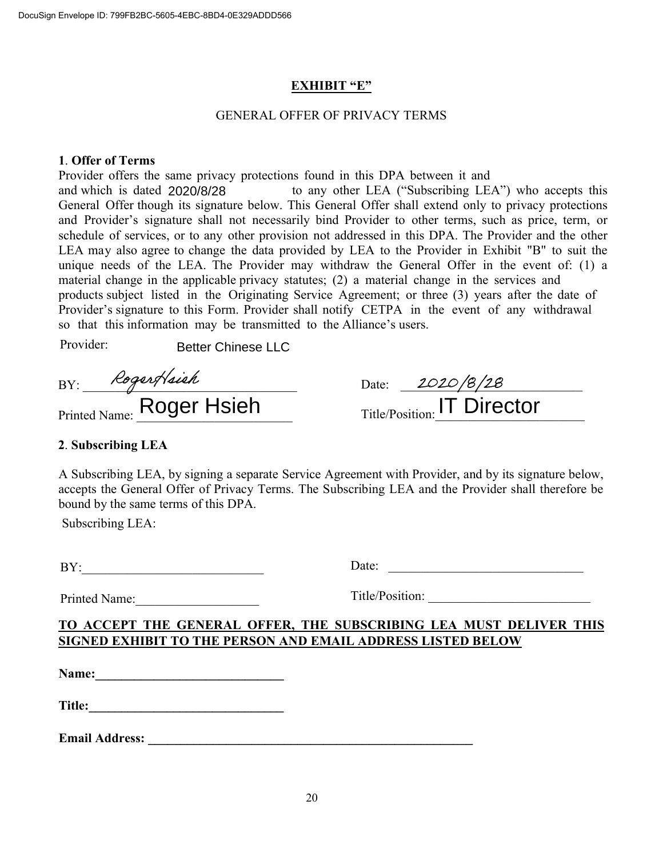#### **EXHIBIT "E"**

#### GENERAL OFFER OF PRIVACY TERMS

#### **1**. **Offer of Terms**

Provider offers the same privacy protections found in this DPA between it and and which is dated 2020/8/28 to any other LEA ("Subscribing LEA") who accepts this General Offer though its signature below. This General Offer shall extend only to privacy protections and Provider's signature shall not necessarily bind Provider to other terms, such as price, term, or schedule of services, or to any other provision not addressed in this DPA. The Provider and the other LEA may also agree to change the data provided by LEA to the Provider in Exhibit "B" to suit the unique needs of the LEA. The Provider may withdraw the General Offer in the event of: (1) a material change in the applicable privacy statutes; (2) a material change in the services and products subject listed in the Originating Service Agreement; or three (3) years after the date of Provider's signature to this Form. Provider shall notify CETPA in the event of any withdrawal so that this information may be transmitted to the Alliance's users. ated 2020/8/28 to any other LEA ("Subscribing LEA") who<br>hough its signature below. This General Offer shall extend only to privace<br>signature shall not necessarily bind Provider to other terms, such as pr<br>vices, or to any

Provider:

BY: \_\_\_\_\_\_\_\_\_\_\_\_\_\_\_\_\_\_\_\_\_\_\_\_\_\_\_\_\_\_\_\_\_

Printed Name:  $\frac{1}{2}$   $\frac{1}{2}$ 

| Date: | 2020/8/28                   |  |
|-------|-----------------------------|--|
|       | Title/Position: IT Director |  |

# **2**. **Subscribing LEA**

A Subscribing LEA, by signing a separate Service Agreement with Provider, and by its signature below, accepts the General Offer of Privacy Terms. The Subscribing LEA and the Provider shall therefore be bound by the same terms of this DPA.

Subscribing LEA:

| L<br>1. |
|---------|
|---------|

Date:

Printed Name:

Title/Position:

# **TO ACCEPT THE GENERAL OFFER, THE SUBSCRIBING LEA MUST DELIVER THIS SIGNED EXHIBIT TO THE PERSON AND EMAIL ADDRESS LISTED BELOW**

**Name:\_\_\_\_\_\_\_\_\_\_\_\_\_\_\_\_\_\_\_\_\_\_\_\_\_\_\_\_\_**

| <b>Title:</b> |  |  |
|---------------|--|--|
|               |  |  |
|               |  |  |
|               |  |  |
|               |  |  |
|               |  |  |
|               |  |  |

**Email Address: \_\_\_\_\_\_\_\_\_\_\_\_\_\_\_\_\_\_\_\_\_\_\_\_\_\_\_\_\_\_\_\_\_\_\_\_\_\_\_\_\_\_\_\_\_\_\_\_\_\_**